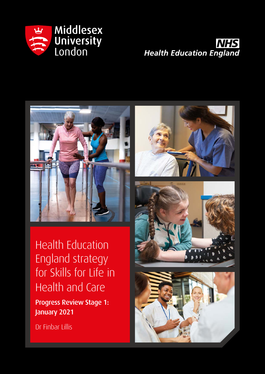





Health Education England strategy for Skills for Life in Health and Care

Progress Review Stage 1: January 2021

Dr Finbar Lillis

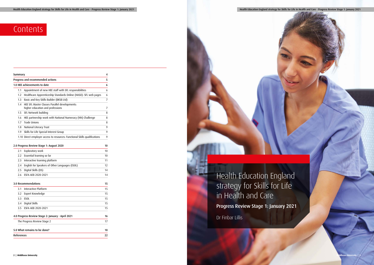| Summary                                                       |                                                                                   | 4  |  |  |  |
|---------------------------------------------------------------|-----------------------------------------------------------------------------------|----|--|--|--|
|                                                               | Progress and recommended actions                                                  | 5  |  |  |  |
|                                                               | 1.0 HEE achievements to date                                                      | 6  |  |  |  |
| Appointment of new HEE staff with SFL responsibilities<br>1.1 |                                                                                   |    |  |  |  |
| 1.2                                                           | Healthcare Apprenticeship Standards Online (HASO): SFL web pages                  | 6  |  |  |  |
| 1.3                                                           | Basic and Key Skills Builder (BKSB Ltd)                                           | 7  |  |  |  |
| 1.4                                                           | HEE SFL Master Classes Parallel developments:<br>higher education and professions | 7  |  |  |  |
| 1.5                                                           | SFL Network building                                                              | 8  |  |  |  |
| 1.6                                                           | HEE partnership work with National Numeracy (NN) Challenge                        | 8  |  |  |  |
| 1.7                                                           | <b>Trade Unions</b>                                                               | 8  |  |  |  |
| 1.8                                                           | National Literacy Trust                                                           | 9  |  |  |  |
| 1.9                                                           | Skills for Life Special Interest Group                                            | 9  |  |  |  |
|                                                               | 1.10 Direct employer access to resources: Functional Skills qualifications        | 9  |  |  |  |
|                                                               |                                                                                   |    |  |  |  |
|                                                               | 2.0 Progress Review Stage 1: August 2020                                          | 10 |  |  |  |
| 2.1                                                           | Exploratory work                                                                  | 10 |  |  |  |
| 2.2                                                           | Essential learning so far                                                         | 10 |  |  |  |
| 2.3                                                           | Interactive learning platform                                                     | 11 |  |  |  |
| 2.4                                                           | English for Speakers of Other Languages (ESOL)                                    | 12 |  |  |  |
| 2.5                                                           | Digital Skills (DS)                                                               | 14 |  |  |  |
| 2.6                                                           | ESFA AEB 2020-2021                                                                | 14 |  |  |  |
|                                                               | 3.0 Recommendations                                                               | 15 |  |  |  |
| 3.1                                                           | Interactive Platform                                                              | 15 |  |  |  |
| 3.2                                                           | Expert Knowledge                                                                  | 15 |  |  |  |
| 3.3                                                           | <b>ESOL</b>                                                                       | 15 |  |  |  |
| 3.4                                                           | Digital Skills                                                                    | 15 |  |  |  |
| 3.5                                                           | ESFA AEB 2020-2021                                                                | 15 |  |  |  |
|                                                               | 4.0 Progress Review Stage 2: January - April 2021                                 | 16 |  |  |  |
| The Progress Review Stage 2                                   |                                                                                   |    |  |  |  |
|                                                               |                                                                                   |    |  |  |  |
| 5.0 What remains to be done?                                  |                                                                                   |    |  |  |  |
| References                                                    |                                                                                   |    |  |  |  |



| Health Education England strategy for Skills for Life in Health and Care - Progress Review Stage 1: January 2021 |  |  |
|------------------------------------------------------------------------------------------------------------------|--|--|

# Contents

## Health Education England strategy for Skills for Life in Health and Care

Progress Review Stage 1: January 2021

Dr Finbar Lillis

Health Education England strategy for Skills for Life in Health and Care - Progress Review Stage 1: January 2021

**Middlesex University**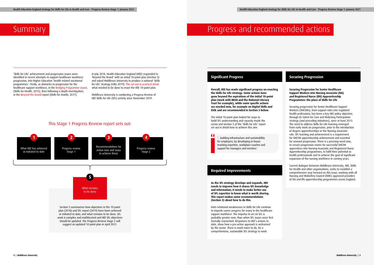# Summary **Progress and recommended actions**

'Skills for Life' achievement and progression issues were identified in recent attempts to support healthcare workforce progression, into Higher Education 'health related vocational programmes'. Firstly, as obstacles to progression for the healthcare support workforce, in the [Bridging Programme report](https://www.skillsforhealth.org.uk/skills-for-health-bridging-programme), (Skills for Health, 2015), then following a depth investigation, in the [Beyond the Brand](http://thhb.co.uk/2017/11/21/beyond-the-brand/) report (Skills for Health, 2017).

> " '…building infrastructure and sustainability for employers, by developing in-house teaching expertise, workplace coaches and

**Overall, HEE has made significant progress on enacting the Skills for Life strategy. Some actions have gone beyond the aspirations of the initial 10-point plan (work with BKSB and the National Literacy Trust for example), while some specific actions are needed now, for example on Digital Skills and ESOL and are recommended in Section 3 below.** 

The initial 10-point plan looked for ways to build SFL understanding and capacity inside the sector and Section 5 of the 'Skills for Life' report set out in detail how to achieve this aim:



**As the SFL strategy develops and expands, HEE needs to improve how it shares SFL knowledge and information; it needs to make better use of SFL expertise to know what is worth sharing. This report makes some recommendations (Section 3) about how to do this.**

In July 2018, Health Education England (HEE) responded to 'Beyond the Brand' with an initial 10-point plan (Section 5) and asked Middlesex University to produce a national 'Skills for Life' strategy (Lillis 2019). [This set out in practical detail](http://www.mdx.ac.uk/news/2019/11/new-middlesex-report-sets-five-goals-for-improving-adult-skills-in-the-health-and-care-sector) what needed to be done to enact the HEE 10-point plan.

> Inter-relational weaknesses in Skills for Life continue to impede career progress for many in the healthcare support workforce. The impetus to act on SFL is probably greater now, than when SFL issues were first formally researched. Responses to HEE's actions to date, show how a pro-active approach is welcomed by the sector. There is much more to do, for a comprehensive, sustainable SFL strategy to work.

### **Securing Progression for Senior Healthcare Support Workers into Nursing Associate (NA) and Registered Nurse (RN) Apprenticeship Programmes: the place of Skills for Life**

Securing progression for Senior Healthcare Support Workers (SHCSWs), from support roles into regulated health professions, has been a key HEE policy objective, through its Talent for Care and Widening Participation strategy (and preceding initiatives), since at least 2013. The need to address Skills for Life learning emerged from early work on progression, prior to the introduction of degree apprenticeships or the Nursing Associate role. SFL learning and achievement is a requirement for SHCSW apprenticeship achievement and essential for onward progression. There is a pressing need now, to secure progression routes for successful SHCSW apprentices into Nursing Associate and Registered Nurse Apprenticeship programmes, to fulfil their potential as health professionals and to achieve the goal of significant expansion of the nursing workforce in coming years.

Current dialogue between Middlesex University, HEE, Skills for Health and other organisations, seeks to establish a comprehensive way forward on this issue, working with all Nursing and Midwifery Council (NMC) approved providers of NA and RN apprenticeship programmes across England.

## This Stage 1 Progress Review report sets out:

## **Significant Progress Securing Progression**

### **Required Improvements**

Middlesex University is conducting a Progress Review of HEE Skills for Life (SFL) activity since November 2019.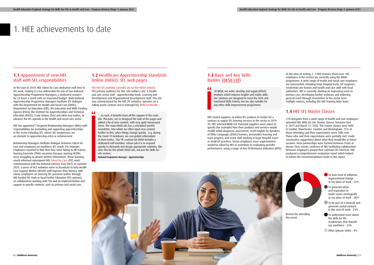## 1. HEE achievements to date

At the start of 2019, HEE Talent for Care dedicated staff time to SFL work, making it a key deliverable for one of two National Apprenticeship Programme Managers; a dedicated resource for 24 hours a week with an associated budget. Both National Apprenticeship Programme Managers facilitate SFL dialogue with the Department for Health and Social Care (DHSC), Department for Education (DfE), the Education and Skills Funding Agency (ESFA), the Institute for Apprenticeships and Technical Education (IFATE), Trade Unions (TUs) and other key bodies, to advance the SFL agenda in the health and social care sector.

## **1.1** Appointment of new HEE staff with SFL responsibilities

HEE has appointed 7 Regional Relationship Managers (RMs) with responsibilities for promoting and supporting apprenticeships in the sector including SFL, where SFL weaknesses are an obstacle to apprenticeship entry or achievement.

Relationship Managers facilitate dialogue between Talent for Care and employers on workforce SFL needs. For example, employers reported to RMs that they were failing to fill Trainee Nursing Associate (TNA) vacancies because aspiring HCSWs were struggling to absorb written information. These learning needs informed subsequent HEE [Talent for Care](https://www.hee.nhs.uk/our-work/talent-care-widening-participation) (TfC) work commissioned with the National Literacy Trust (NLT). In summer 2020, a series of NLT webinars were to broadcast to help Health Care Support Worker (HCSW) staff improve their literacy. RMs advise employers on sourcing SFL provision (either through HEE funded SFL tools or local Further Education (FE) options), on collaborative working with TUs and on implementation and support in specific contexts, such as primary and social care.

" '…As such, it benefits from all the support of the main site. This June, we re-designed the look of the pages and added a lot of new content, with very quick turnaround times. The main HASO site has a scheduled weekly newsletter, into which we often input new content. Further to this, when things change quickly…e.g. during the Covid-19 lockdown, we can update information at short notice…the TfC contract for HASO includes a dedicated staff member, whose job it is to respond quickly to demands and design appropriate solutions. She does this for the whole HASO site, not just the Skills for Life section.'

## **1.2** Healthcare Apprenticeship Standards Online (HASO): SFL web pages

[The HEE SFL portfolio currently sits on the HASO website](https://haso.skillsforhealth.org.uk/skills-for-life/). The primary audience for this 'site within a site' is health and care sector staff - apprenticeship leads, Learning and Development and Organisational Development staff. This site was commissioned by the HEE TfC initiative, operates on a rolling yearly contract and is managed by [Skills for Health](https://www.skillsforhealth.org.uk/).

**National Programme Manager – Apprenticeships** 

## **1.3** Basic and Key Skills Builder ([BKSB Ltd\)](https://www.bksb.co.uk/)

#### $66$

'At BKSB, we write, develop and supply EdTech products which improve English and maths skills. Our solutions are designed to meet the GCSE and Functional Skills Criteria, but are also suitable for any other skills improvement programme.'

HEE invited suppliers of online SFL products to tender for a contract to supply SFL learning services to the sector in 2019- 20. HEE selected BKSB Ltd. Potential suppliers were asked to specify (for example) how their products and services would enable initial diagnostic assessment, reach English for Speakers of Other Languages (ESOL) learners, personalise learning and track progress, and reach staff working in large Hospital Trusts or small GP practices. Sector employers (user organisations) would be asked by HEE to contribute to evaluating provider performance, using a range of Key Performance Indicators (KPIs). At the time of writing, C. 7,000 learners (from over 100 employers in the sector) are currently using the BKSB programme. A wide range of health and social care employers are represented, including large hospital trusts, GP surgeries, residential care homes and health and care staff with local authorities. HEE is currently working on improving reach to primary care, developing further webinars and widening general reach through newsletters to the sector from multiple sources, including the HEE Training Hubs team.

## **1.4** HEE SFL Master Classes

170 delegates from a wide range of health and care employers attended HEE Skills for Life 'Master Classes' between Nov 6, 2019 and March 11, 2020. The master classes were held in London, Manchester, Taunton and Birmingham. 75% of those attending said their expectations were 'fully met'. Those who said their expectations were partially met, made constructive suggestions about what they would like in future sessions. New partnerships were formed between Trusts at Master Class events; evidence of HEE facilitating collaboration between employers around their common SFL interests. HEE produced a comprehensive evaluation report which helped to inform the recommendations made in this report.

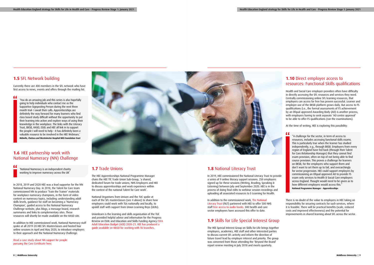## **1.5** SFL Network building

"

Currently there are 400 members in the SFL network who have first access to news, events and offers through the mailing list.

'You do an amazing job and this series is also hopefully going to help individuals who contact me as the Supportive Signposting Person during the next three month trial- I await their calls. Apprenticeships are definitely the way forward for many learners who find class based study difficult without the opportunity to put their learning into action and explore ways of using their knowledge in the workplace. The links with the Literacy Trust, BKSB, HASO, ESOL and HEE all link in to support the people I will need to help - it has definitely been a valuable resource to be involved in the HEE Webinars.' **Midwife, Chelsea and Westminster Hospital NHS Foundation Trust**

" 'National Numeracy is an independent charity working to improve numeracy across the UK'

## **1.6** HEE partnership work with National Numeracy (NN) Challenge

In 2018, 2019 and 2020 HEE was a lead supporter for the NN National Numeracy Day. In 2018, the Talent for Care team commissioned NN to produce 'Train the Trainer' materials for workplace numeracy champions, in the form of video content on numeracy topics, including: understanding adult skills levels, guidance for staff on becoming a 'Numeracy Champion', guided access to the National Numeracy Challenge website, plus blogs, a message board, research summaries and links to complementary sites. These resources will shortly be made available on the HASO site.

In addition to HEE commissioned work, National Numeracy staff spoke at all 2019-20 HEE SFL Masterclasses and hosted four online sessions in April and May 2020, to introduce employers to their approach and the National Numeracy Challenge.

[Read a case study about NN support for people](https://haso.skillsforhealth.org.uk/wp-content/uploads/2020/06/2020.06.03-Numeracy-support-case-study-pdf.pdf)  [pursuing the Care Certificate here.](https://haso.skillsforhealth.org.uk/wp-content/uploads/2020/06/2020.06.03-Numeracy-support-case-study-pdf.pdf)



## **1.7** Trade Unions

The HEE Apprenticeships National Programme Manager chairs the HEE TfC Trade Union Sub-Group, 'a shared, dedicated forum for trade unions, NHS Employers and HEE to discuss apprenticeships and work experience within the context of the national Talent for Care work'.

National Organisers from Unison and the TUC spoke at each of the SFL masterclasses (see 4 above) to share how employers could work with TUs nationally and locally, to upskill staff with support from Union Learning Reps (ULRs).

Unionlearn is the learning and skills organisation of the TUC and provided helpful advice and information for the Progress Review on ESOL and Education and Skills Funding Agency [ESFA](https://www.gov.uk/government/organisations/education-and-skills-funding-agency) [Adult Education Budget \(AEB\) 2020-21](https://www.gov.uk/guidance/adult-education-budget-aeb-funding-rules-2020-to-2021). [HEE has produced a](https://haso.skillsforhealth.org.uk/support-for-managers-and-networking/#working-with-trades-unions-on-skills-for-life)  [guide available on HASO for working with TU branches.](https://haso.skillsforhealth.org.uk/support-for-managers-and-networking/#working-with-trades-unions-on-skills-for-life)

## **1.8** National Literacy Trust

In 2019, HEE commissioned the National Literacy Trust to provide a series of 9 online literacy support sessions. 250 employers signed up for these sessions (Writing, Reading, Speaking & Listening) between July and September 2020. HEE is in the process of doing final edits to webinar session recordings and uploading all associated resources to E-Learning for Health.

In addition to the commissioned work, [The National](https://literacytrust.org.uk/)  [Literacy Trust](https://literacytrust.org.uk/) (NLT) partnered with HEE to offer 500 NHS staff [free access to audio books](https://haso.skillsforhealth.org.uk/news/the-national-literacy-trust-free-audio-books/). 300 health and care sector employees have accessed this offer to date.

## **1.9** Skills for Life Special Interest Group

The HEE Special Interest Group on Skills for Life brings together employers, academics, HEE staff and other interested parties to discuss current SFL activity and inform the direction of future travel lead by employer interest and priority. The group was convened from those attending the 'Beyond the Brand' report review meeting in July 2018 and meets quarterly.

## **1.10** Direct employer access to resources: Functional Skills qualifications

Health and Social Care employer-providers often have difficulty in directly accessing the SFL resources and services they need. Centrally commissioning online SFL learning resources, that employers can access for free has proven successful. Learner and employer use of the BKSB platform grows daily. But access to FS qualifications (i.e., the formal assessments of FS achievement by an Ofqual approved Awarding Body (AO) is another process, with employers having to seek separate 'AO centre approval' to be able to offer FS qualifications (run the examinations).

At the time of writing, HEE is exploring this possibility:

"A challenge for the sector, in term of access to resources, includes accessing functional skills exams. This is particularly true when the learner has studied independently, e.g., through BKSB. Employers from every region of England have fed back (through their Talent for Care Relationship Manager) that they cannot find exam provision, often on top of not being able to find course provision. This proves a challenge for learners on BKSB, for the employers who support them and don't want to set them up to fail, and overarchingly for sector progression. HEE could support employers by commissioning an Ofqual approved AO to provide FS exam only services to Health & Social Care employers across England. Thought would need to be given as to how different employers would access this." **National Programme Manager – Apprenticeships** 

There is no doubt of the value to employers in HEE taking on responsibility for securing contracts for such services, where it is feasible. There will be practical benefits (scale, reduced costs and improved effectiveness) and the potential for improvements in shared learning about SFL across the sector.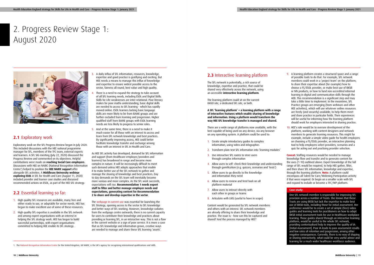- 3. A daily influx of SFL information, resources, knowledge, expertise and good practice is gratifying and exciting. But HEE needs a means to manage this influx of knowledge and expertise to ensure widest possible access to the sector, fairness all round, best value and high quality.
- There is a need to expand the strategy to take account of all SFL learning needs, including ESOL and Digital Skills. Skills for Life weaknesses are inter-relational. Poor literacy makes for poor maths understanding, basic digital skills are needed to access to SFL learning - which has rapidly moved online. ESOL learners lacking basic language skills are more likely to be from BAME groups and are further excluded from learning and progression. Higher qualified staff from BAME groups with ESOL learning needs are less likely to progress to senior roles.
- 5. And at the same time, there is a need to make it much easier for all those with an interest to access and learn from SFL network knowledge and best practices. By significantly improving access, HEE could better facilitate knowledge transfer and exchange among those with an interest in SFL in Health and Care.

As HEE SFL activity has developed, demand for SFL information and support (from Healthcare employer/providers and learners) has broadened in range and become more complex in nature. It will be increasingly difficult to meet such demand unless HEE adopts approaches that enable it to make better use of the SFL network to gather and manage the sharing of knowledge and best practices. Day to day demands on the SFL team will inevitably become more various and more complex. As the SFL work succeeds, expectations will rise. **Recommendation 1 needs expert staff to filter and better manage employer needs and expectations, generating content for Recommendation 2 to share and develop expertise in the sector**.

The [webpage in current use](https://haso.skillsforhealth.org.uk/skills-for-life/) was essential for launching the SFL Strategy, opening access to the sector to SFL knowledge and better ways of SFL working. However, knowledge radiates from the webpage centre outwards; there is no current capacity for users to contribute their knowledge and practices about providing or learning SFL, in an interactive way. This is not a flaw in the current website or a sign of poor service. It is more a case that as SFL knowledge and information grows, creative ways are needed to manage and share these SFL learning 'assets'.

## **2.1** Exploratory work

Exploratory work on the SFL Progress Review began in July 2020. This included discussions with the HEE national programme manager for SFL, members of the TFC team, external experts and learners. A SFL SIG meeting (July 22, 2020) discussed the Progress Review and commented on its objectives. Helpful contributions were made on **reaching Social Care employers**. Discussions with HEE on NARIC (National Recognition Information Centre1 ) helped to position the **HEE NARIC support** offer alongside SFL activities. A **Middlesex University webinar exploring ESOL** in SFL for Health and Care (August 11, 2020) included provider and learner case studies and discussed recommended actions on ESOL, as part of the HEE SFL strategy.

## **2.2** Essential learning so far:

- 1. High quality SFL resources are available, many free and either ready to use, or adaptable for sector needs. HEE has begun to make excellent use of some of these resources.
- 2. High quality SFL expertise is available in the SFL network and among expert organisations with an interest in helping the SFL strategy work. HEE has begun to build successful partnerships, with expert organisations committed to helping HEE enable its SFL strategy.

# 2. Progress Review Stage 1: August 2020



## **2.3** Interactive learning platform

The SFL network is potentially, a rich source of knowledge, expertise and practice, that could be shared very effectively across the network, using an accessible **interactive learning platform**.

The learning platform could sit on the current HASO site, a dedicated SFL site, or both.

**A SFL 'learning platform' = a learning platform with a range of interactive features which enable sharing of knowledge and information. Using a platform would transform the way HEE SFL knowledge transfer is managed and shared.**

There are a wide range of platforms now available, with the best capable of being used on any device, via any browser on any operating system. A platform could be used to:

- 1. Create simple introductory guides to complex information, using video and infographics
- 2. Transform plain text SFL information into 'learning modules'
- 3. Use interactive SFL routes to steer users through complex information
- 4. Allow users to self- check their knowledge and understanding through gamification (e.g. quizzes, scenarios and 'tests')
- 5. Allow users to go directly to the knowledge and information they need
- 6. Allow users to review and feed back on all platform material
- 7. Allow users to interact directly with each other in groups or teams
- 8. Articulate with LMS (useful to have in scope)

Content would be generated by SFL network members and others with an interest. SFL network members are already offering to share their knowledge and practice. The issue is – how can this be captured and shared? And the process managed by HEE?

1. The [National Recognition Information Centre](https://www.naric.org.uk/) for the United Kingdom, UK NARIC, is the UK's agency for recognising international qualifications and skills

- 9. A learning platform creates a structured space and a range of possible tools to do that. For example, SFL network members could work in a 'project team' on the platform, to share their expertise about (for example) how to choose a FS/ESOL provider, or make best use of BKSB or NN products, or how to fund non-accredited informal learning in digital and communication skills through the AEB. This recommendation is a significant step and may take a little time to implement. In the meantime, SFL Practice groups are emerging (from webinars and other HEE activities), which will use whatever online resources are freely (and securely) available, to help them meet and share practice in particular fields. Their experiences will be useful for informing how the learning platform should work for employers interested in sharing practice.
- 10. HEE's role would be to oversee development of the platform, working with content designers and network members to generate learning resources. This might for example, include a simple video guide for health employers on choosing a FS/ESOL provider, an interactive planning tool to help employers select providers, scenarios and a quiz for acting out and practising provider selection.

**Caveat:** Staffing resources would be needed to manage knowledge flow and transfer and to generate content for the uses (1-10) outlined above. Expert knowledge of the full range of SFL would be required, to help HEE gather, filter, and then share SFL information, knowledge and expertise, through the learning platform. **Note:** A platform could encompass all Talent for Care/Widening Participation activity if that were required. Or begin on a smaller scale with SFL and expand to include or become a TFC/WP platform.

#### **Case study:**

One SFL network member is responsible for improving SFL provision across a number of Trusts. She knows that these Trusts are using BKSB but lack the expertise to make best use of BKSB tools, including those for initial assessment. Her preference would be to create a set of simple (free) video guides and learning tools for practitioners on how to adapt BKSB initial assessment tools for use in Healthcare workplace learning. Those guides shared through an interactive learning platform, would be useful to the whole SFL network, providing contextualised help to improve the quality of IA [Initial Assessment]. Poor IA leads to poor assessment results and low rates of retention and progression, among other negative consequences. Currently, there is no way of shaping or sharing interactively, what could be very useful advice and learning for a much wider healthcare workforce audience.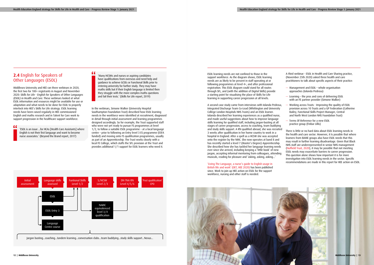## **2.4** English for Speakers of Other Languages (ESOL)

Middlesex University and HEE ran three webinars in 2020, the first two for 100+ registrants in August and November 2020: Skills for Life - English for Speakers of Other Languages (ESOL) in Health and Care. These webinars looked at what ESOL information and resources might be available for use or adaptation and what needs to be done for ESOL to properly interlock into HEE's Skills for Life strategy. ESOL learning needs have been raised regularly in HEE commissioned English and maths research and in Talent for Care work to support progression in the healthcare support workforce.

" 'ESOL is an issue ...for HCAs [Health Care Assistants] where English is not their first language and want to become nurse associates.' (Beyond the Brand report, 2017)

### "

'Many HCSWs and nurses or aspiring candidates have qualifications from overseas and need help and guidance to achieve GCSEs or Functional Skills prior to entering university for further study. They may have maths skills but if their English language is limited then they struggle with the more complex maths questions and fail their tests.' (Skills for Life report, 2019)

In the webinars, Simone Walker (University Hospital Southampton Foundation Trust) described how ESOL learning needs in the workforce were identified at recruitment, diagnosed in detail through initial assessment and learning programmes designed accordingly. So for example, the Trust supported staff who were not yet ready to pursue FS programmes at level 1/2, to follow a suitable ESOL programme – at a local language centre – prior to following an Entry level 3 ES programme (ESFA funded) and moving onto FS qualification programmes, usually as part of an Apprenticeship. The Trust works closely with a local FE College, which staffs the SFL provision at the Trust and provides additional 1/1 support for ESOL learners who need it.

ESOL learning needs are not confined to those in the support workforce. As the diagram shows, ESOL learning needs are as likely to be present in staff operating at or following programmes at level 4+, and after professional registration. This ESOL diagram could stand for all routes through SFL, and (with the addition of Digital Skills) provide a starting point for visualising the place of Skills for Life learning in supporting career progression at all levels.

A second case study came from interviews with Iolanda Pedrosa, Integrated Discharge Team Co-Lead (Whittington and University College London Hospitals NHS Trusts) and an ESOL learner. Iolanda described her learning experiences as a qualified nurse, and made useful suggestions about how to improve language skills learning for qualified staff, including jargon-busting at all stages of career progression, access to coaching, team buddying and study skills support. A RN qualified abroad, she was recruited 3 weeks after qualification in her home country to work in a hospital in England. After a spell as a HCSW she was accepted onto the register by the NMC. She now operates at band 8 and has recently started a level 7 (Master's Degree) Apprenticeship. She described how she has tackled her language learning needs ever since she arrived, including keeping a 'little book' of new jargon, accepting informal mentoring from colleagues, attending musicals, reading for pleasure and 'asking, asking, asking...'

['Living The Language, a nurse's guide to English usage in](https://www.occupationalenglishtest.org/l/living-the-language/?utm_source=Marketing%20Cloud&utm_medium=Email&utm_campaign=Living%20the%20Language)  [British life and work' \(OET, HEE 2020\) h](https://www.occupationalenglishtest.org/l/living-the-language/?utm_source=Marketing%20Cloud&utm_medium=Email&utm_campaign=Living%20the%20Language)as been published since. Work to join up HEE action on ESOL for the support workforce, nursing and other staff is needed.

A third webinar - ESOL in Health and Care Sharing practice, (November 25th 2020) asked three health and care practitioners to talk about specific aspects of their practice:

- Management and ESOL whole organisation approaches (Iolanda Pedrosa)
- Learning the pros and cons of delivering ESOL with an FE partner provider (Simone Walker)
- Working across Trusts Improving the quality of ESOL provision across 10 Trusts and a GP Federation (Catherine Bailey, Functional Skills Project Manager, Central and North West London NHS Foundation Trust)
- Terms Of Reference for a new ESOL practice group (Finbar Lillis)

There is little or no hard data about ESOL learning needs in the health and care sector. However, it Is possible that where learners from BAME groups also have ESOL needs that this may result in further learning disadvantage. Given that Black NHS staff are underrepresented in senior NHS management [\(Nuffield Trust, 2020\)](https://www.nuffieldtrust.org.uk/resource/chart-of-the-week-black-nhs-staff-are-underrepresented-in-senior-management-roles), it may be possible that not meeting ESOL needs may exacerbate barriers to career progression. This question alone shows how important it is for more investigation into ESOL learning needs in the sector. Specific recommendations are made in this report for HEE action on ESOL.



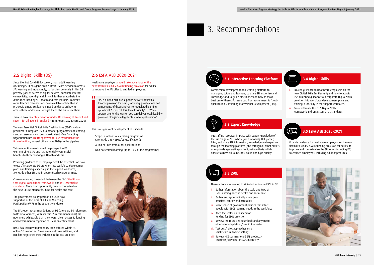## **2.5** Digital Skills (DS)

Since the first Covid-19 lockdown, most adult learning (including SFL) has gone online. Basic DS are needed to access SFL learning and increasingly, to function generally in life. DS poverty (lack of access to digital devices, adequate internet connectivity, poor digital skills) will further exacerbate the difficulties faced by SFL health and care learners. Ironically, more free SFL resources are now available online than in pre-Covid times. But learners need guidance on how to access these and when they get there, the DS to use them.

There is now an [entitlement to funded DS learning at Entry 3 and](https://www.gov.uk/government/news/plans-launched-to-boost-digital-skills-for-adults)  [Level 1 for all adults in England](https://www.gov.uk/government/news/plans-launched-to-boost-digital-skills-for-adults) - from August 2021. (DFE 2020)

The new Essential Digital Skills Qualifications (EDSQs) allow providers to integrate DS into broader programmes of learning - and assessments can be contextualised. One Awarding Organisation has [EDSQs approved for use by Ofqual at the](https://www.gov.uk/government/publications/digital-qualifications-evaluation-progress)  [time of writing,](https://www.gov.uk/government/publications/digital-qualifications-evaluation-progress) several others have EDSQs in the pipeline.

This new entitlement should help shape the DS element of HEE SFL and has potentially very useful benefits to those working in Health and Care.

Providing guidance to HC employers will be essential - on how to use / incorporate DS provision into workforce development plans and training, especially in the support workforce, alongside other SFL and in apprenticeship programmes.

" "ESFA funded AEB also supports delivery of flexible tailored provision for adults, including qualifications and components of these and/or non-regulated learning, up to level 2 – we call this 'local flexibility'... ...Where appropriate for the learner, you can deliver local flexibility provision alongside a legal entitlement qualification"

Cross-referencing is needed, between the NHS ['Health and](https://www.hee.nhs.uk/sites/default/files/documents/Digital%20Literacy%20Capability%20Framework%202018.pdf)  [Care Digital Capabilities Framework'](https://www.hee.nhs.uk/sites/default/files/documents/Digital%20Literacy%20Capability%20Framework%202018.pdf) and [DFE Essential DS](https://assets.publishing.service.gov.uk/government/uploads/system/uploads/attachment_data/file/909932/National_standards_for_essential_digital_skills.pdf)  [standards.](https://assets.publishing.service.gov.uk/government/uploads/system/uploads/attachment_data/file/909932/National_standards_for_essential_digital_skills.pdf) There is an opportunity now to contextualise the new DFE DS standards, in DS for health and care.

The government policy position on DS is now supportive of the aims of TFC and Widening Participation (WP) in the support workforce.

The SFL report recommendations on DS (there are 50 references to DS development, with specific DS recommendations) are now more achievable than they were, given access to funding and Government recognition of DS as an entitlement.

- Gather information about the scale and type of ESOL learning need in health and social care
- ii. Gather and systematically share good practices, quickly and accessibly
- iii. Make sense of government policies that affect people with ESOL learning needs in the workforce
- iv. Keep the sector up to speed on funding for ESOL provision
- v. Review the resources described (and any useful others) for adaptation / use in the sector
- vi. Test out / pilot approaches on a small scale in diverse settings
- vii. Review HEE commissioned SFL products/ resources/services for ESOL inclusivity

BKSB has recently upgraded DS tools offered within its online SFL resources. These are a welcome addition, and HEE has negotiated their inclusion in the HEE SFL offer.

# 3. Recommendations

## **2.6** ESFA AEB 2020-2021

Healthcare employers [should take advantage of the](https://assets.publishing.service.gov.uk/government/uploads/system/uploads/attachment_data/file/938661/AEB_2020_to_2021_funding_rules_V4_Final_.pdf)  [new flexibilities in ESFA AEB funding provision](https://assets.publishing.service.gov.uk/government/uploads/system/uploads/attachment_data/file/938661/AEB_2020_to_2021_funding_rules_V4_Final_.pdf) for adults, to improve the SFL offer to entitled employees.

This is a significant development as it includes:

- Scope to include in a learning programme (alongside a FS/ ESOL/DS qualification):
- A unit or units from other qualifications
- Non-accredited learning (up to 10% of the programme)





These actions are needed to kick-start action on ESOL in SFL:

# **3.3 ESOL**



Put staffing resources in place with expert knowledge of the full range of SFL, whose job it is to help HEE gather, filter, and share SFL information, knowledge and expertise, through the learning platform (and through all other outlets as required), generating content, using criteria which ensure fairness all round, best value and high quality.

## **3.2 Expert Knowledge**

Commission development of a learning platform for managers, tutors and learners, to share SFL expertise and knowledge and to guide practitioners on how to make best use of these SFL resources, from recruitment to 'postqualification' continuing Professional Development (CPD).

### **3.1 Interactive Learning Platform**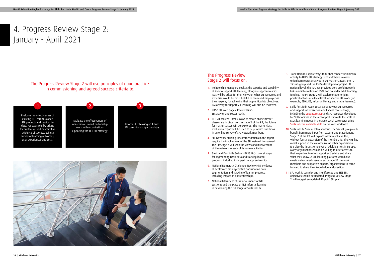# 4. Progress Review Stage 2: January - April 2021

## The Progress Review Stage 2 will focus on:

- 1. Relationship Managers: Look at the capacity and capability of RMs to support SFL learning, alongside apprenticeships. RMs will be asked for their views on what SFL resources and expertise would be most helpful to them and employers in their regions, for achieving their apprenticeship objectives. RM activity to support SFL learning will also be reviewed.
- 2. HASO SFL web pages: Review HASO SFL activity and sector reach.
- 3. HEE SFL Master Classes: Ways to create online master classes are in discussion. In stage 2 of the PR, the future for master classes will be explored. The master class evaluation report will be used to help inform questions in an online survey of SFL Network members.
- 4. SFL Network building: Recommendations in this report require the involvement of the SFL network to succeed. The PR Stage 2 will seek the views and involvement of the network in each of its review activities.
- 5. Basic and Key Skills Builder (BKSB Ltd): Look at scope for segmenting BKSB data and tracking learner progress, including its impact on apprenticeships.
- 6. National Numeracy Challenge: Review NNC evidence of healthcare employer/staff participation data, segmentation and tracking of learner progress, including impact on apprenticeships.
- 7. National Literacy Trust: Review impact of NLT sessions; and the place of NLT informal learning in developing the full range of Skills for Life.

## The Progress Review Stage 2 will use principles of good practice in commissioning and agreed success criteria to:

Evaluate the effectiveness of existing HEE commissioned SFL products and services to date. For example, by asking for qualitative and quantitative evidence of success, using a survey of learning outcomes, user experiences and costs.

- 8. Trade Unions: Explore ways to further connect Unionlearn activity to HEE's SFL strategy. HEE staff have involved Unionlearn representatives in SFL Master Classes, the TU TfC sub-group and the RNDA development project. At national level, the TUC has provided very useful network links and information on ESOL and on wider adult learning funding. The PR Stage 2 will explore scope for joint practical actions at a local level, on specific SFL work (for example, ESOL, DS, informal literacy and maths learning).
- 9. Skills for Life in Adult Social Care: Review SFL resources and support for workers in adult social care settings, including the [Cuppacare app](https://www.cuppacare.com/) and SFL resources developed for Skills for Care in the recent past. Estimate the scale of ESOL learning needs in the adult social care sector using [Skills for Care available data](https://www.skillsforcare.org.uk/adult-social-care-workforce-data/Workforce-intelligence/publications/Workforce-estimates.aspx) on the care workforce.
- 10. Skills for Life Special Interest Group: The SIG SFL group could benefit from more input from experts and practitioners. Stage 2 of the PR will explore ways to achieve this, without formal expansion of the membership. The NHS has moral support in the country like no other organisation. It is also the largest employer of adult learners in Europe. Many organisations would be willing to offer access to their expertise, to offer support and advice and share what they know. A SFL learning platform would also create a structured space to encourage SFL network members and supportive experts/organisations to come forward to share their knowledge and practices.
- 11. SFL work is complex and multifaceted and HEE SFL objectives should be updated. Progress Review Stage 2 will suggest an updated 10-point SFL plan.



Inform HEE thinking on future SFL commissions/partnerships.



**1 2 3**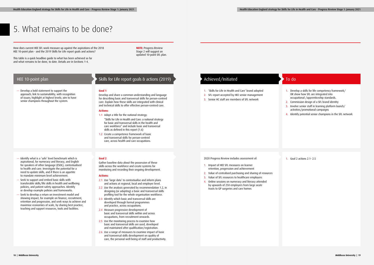— Develop a bold statement to support the approach; link to sustainability; with recognition of issues; highlight at highest levels; aim to have senior champions throughout the system.

## HEE 10-point plan

#### **Goal 1**

Develop and share a common understanding and language for describing basic and transversal skills for person-centred care. Explain how these skills are integrated with clinical and technical skills to offer effective person-centred care.

### **Actions:**

- 1.1 Adopt a title for the national strategy: "Skills for Life in Health and Care: a national strategy for basic and transversal skills in the health and care workforce" and include basic and transversal skills as defined in this report (1.6)
- 1.2 Create a competence framework of basic and transversal skills for person-centred care, across health and care occupations.
- 1. 'Skills for Life in Health and Care' brand adopted
- 2. SFL report accepted by HEE senior management
- 3. Senior HC staff are members of SFL network
- 1. Develop a skills for life competency framework/ OR show how SFL are integrated into occupational /apprenticeship standards.
- 2. Commission design of a SFL brand identity
- 3. Involve senior staff in learning platform launch/ activities/promotional campaigns
- 4. Identify potential senior champions in the SFL network

## 5. What remains to be done?

How does current HEE SFL work measure up against the aspirations of the 2018 HEE 10-point plan - and the 2019 Skills for Life report goals and actions?

This table is a quick headline guide to what has been achieved so far and what remains to be done, to date. Details are in Sections 1-4.

- Identify what is a 'safe' level benchmark which is aspirational, for numeracy and literacy, and English for speakers of other language (ESOL), contextualised to health and care. Investigate the potential for a need to update skills, and if there is an appetite to mandate minimum level achievement.
- Seek to support and embed basic skills with transferable skills/life skills in health and wellbeing policies, and patient safety approaches. Identify or develop example policies and frameworks.
- Seek to develop a return on investment model and showing impact, for example on finance, recruitment, retention and progression, and seek ways to achieve and maximise economies of scale, by sharing best practice, teaching and support resources, tools and facilities.

## Skills for Life report goals & actions (2019) Achieved/Initiated and To do

### **Goal 2**

Gather baseline data about the possession of these skills across the workforce and create systems for monitoring and recording their ongoing development.

### **Actions:**

- 2.1 Use 'large data' to contextualise and inform plans and actions at regional, local and employer level.
- 2.2 Use the analysis generated by recommendation 1.2, in designing (or adapting) a basic and transversal skills profiling tool for the whole organisation workforce.
- 2.3 Identify which basic and transversal skills are developed through formal programmes and practice, across occupations.
- 2.4 Measure progressive development of basic and transversal skills within and across occupations, from recruitment onwards.
- 2.5 Use the monitoring process to examine how basic and transversal skills are used, developed and maintained after qualification/registration.
- 2.6 Use a range of measures to examine impact of basic and transversal skills development on quality of care, the personal well-being of staff and productivity.

#### 2020 Progress Review includes assessment of:

- 1. Impact of HEE SFL measures on learner retention, progression and achievement
- 2. Value of centralised purchasing and sharing of resources
- 3. Value of SFL resources to healthcare employers
- 4. Online sessions on numeracy and literacy attended by upwards of 250 employers from large acute trusts to GP surgeries and care homes

1. Goal 2 actions 2.1- 2.5

**NOTE:** Progress Review Stage 2 will suggest an updated 10-point SFL plan.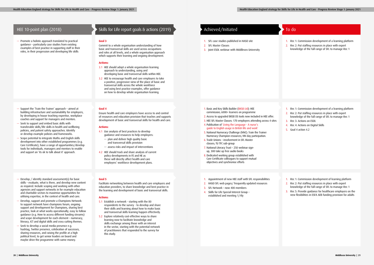— Promote a holistic approach translated to practical guidance – particularly case studies from existing examples of best practice in supporting staff in their roles, in their progression and developing life skills

## Skills for Life report goals & actions (2019) Achieved/Initiated and To do

## HEE 10-point plan (2018)

### **Goal 3**

Commit to a whole organisation understanding of how basic and transversal skills are used across occupations and roles at all levels, and a whole organisation approach which supports their learning and ongoing development.

### **Actions:**

- 1. SFL case studies published in HASO site
- 2. SFL Master Classes
- 3. Joint ESOL webinar with Middlesex University
- 1. Rec 1: Commission development of a learning platform
- 2. Rec 2: Put staffing resources in place with expert knowledge of the full range of SFL to manage Rec 1
- 

- 3.1 HEE should adopt a whole organisation learning approach to understanding, using and developing basic and transversal skills within HEE.
- 3.2 HEE to encourage health and care employers to take a positive, progressive view of the place of basic and transversal skills across the whole workforce and using best practice examples, offer guidance on how to develop whole organisation learning.
- Support the 'Train the Trainer' approach aimed at building infrastructure and sustainability for employers, by developing in house teaching expertise, workplace coaches and support for managers and mentors.
- Seek to support and embed basic skills with transferable skills/life skills in health and wellbeing policies, and patient safety approaches. Identify or develop example policies and frameworks.
- Scope potential to integrate Maths and English skills development into other established programmes (e.g. Care Certificate), have a range of opportunities/develop tools for individuals, managers and mentors to enable and support an 'its ok to talk about it' approach.
- Develop / identify standard assessment(s) for basic skills – evaluate, what is there, and develop new content as required. Include scoping and working with other agencies and support networks in for example education and charitable sectors to maximise opportunities for utilising expertise, in the context of health and care.
- Develop, support and promote a Champions Network: to support network have champions forum, ongoing support and development for Champions, sharing best practice, look at what works operationally; easy to follow guidance (e.g. How to access different funding streams) and scope development for each element – numeracy, literacy, ICT and digital skills and cross cutting themes.
- Seek to develop a social media presence e.g. hashtag, Twitter presence, celebration of successes, sharing resources, and raising the profile at a high political level, to get senior leaders on board and maybe drive the programme with some money.

### **Goal 4**

Ensure health and care employers have access to and control of resources and education provision that teaches and supports development of basic and transversal skills for health and care.

### **Actions:**

- 4.1 Use analysis of best practices to develop guidance and resources to help employers:
	- plan and deliver high quality basic and transversal skills provision
	- assess risks and impact of interventions
- 4.2 HEE should track and share analysis of current policy developments in FE and HE as these will directly affect health and care employers' workforce development plans.

### **Goal 5**

Facilitate networking between health and care employers and education providers, to share knowledge and best practice in the learning and development of basic and transversal skills.

### **Actions:**

- 5.1 Establish a network starting with the 80 respondents to the survey - to develop and share their skills and learning about how to make basic and transversal skills learning happen effectively.
- 5.2 Explore relatively cost-effective ways to share learning now-to facilitate knowledge and skills exchange among those with an interest in the sector, starting with the potential network of practitioners that responded to the survey for this study.

- 1. Basic and Key Skills Builder ([BKSB Ltd\)](https://www.bksb.co.uk/): HEE commission; 6000+ learners on programme
- 2. Access to upgraded BKSB DS tools now included in HEE offer.
- 3. HEE SFL Master Classes: 170 employers attending across 4 sites
- 4. Publication of ['Living the Language A nurse's](https://haso.skillsforhealth.org.uk/wp-content/uploads/2020/09/2020.09.22-Living-the-language-resource.pdf)  [guide to English usage in British life and work](https://haso.skillsforhealth.org.uk/wp-content/uploads/2020/09/2020.09.22-Living-the-language-resource.pdf)'
- 5. National Numeracy Challenge (NNC): Train the Trainer Numeracy Champion resources; NN day participation.
- 6. Trade Unions involvement in SFL Master classes; TU TFC sub-group
- 7. National Literacy Trust 250 webinar signup, 300 take up free audio books
- 8. Dedicated working group established with Care Certificate colleagues to support mutual objectives and synchronise efforts
- 1. Appointment of new HEE staff with SFL responsibilities
- 2. HASO SFL web pages/ frequently updated resources
- 3. SFL Network now 400 members
- 4. Skills for Life Special Interest Group established and meeting 1/4ly

- 1. Rec 1: Commission development of a learning platform
- 2. Rec 2: Put staffing resources in place with expert knowledge of the full range of SFL to manage Rec 1
- 3. Rec 3: Actions on ESOL
- 4. Rec 4: Actions on Digital Skills
- 5. Goal 4 action 4.2

- 1. Rec 1: Commission development of learning platform
- 2. Rec 2: Put staffing resources in place with expert knowledge of the full range of SFL to manage Rec 1
- 3. Rec 5: Provide guidance for healthcare employers on the new flexibilities in ESFA AEB funding provision for adults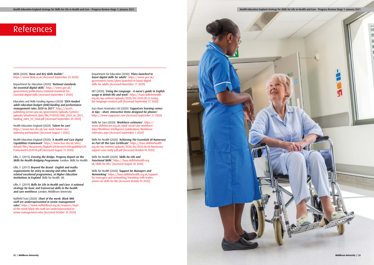BKSB (2020) 'Basic and Key Skills Builder'. <https://www.bksb.co.uk> [Accessed September 20 2020]

Department for Education (2020) 'National standards for essential digital skills'. [https://www.gov.uk/](https://www.gov.uk/government/publications/national-standards-for-essential-digital-skills) [government/publications/national-standards-for](https://www.gov.uk/government/publications/national-standards-for-essential-digital-skills)[essential-digital-skills](https://www.gov.uk/government/publications/national-standards-for-essential-digital-skills) [Accessed September 1 2020]

Education and Skills Funding Agency (2020) 'ESFA funded adult education budget (AEB):funding and performance management rules 2020 to 2021'. [https://assets.](https://assets.publishing.service.gov.uk/government/uploads/system/uploads/attachment_data/file/918920/AEB_2020_to_2021_funding_rules_V3_Final.pdf) [publishing.service.gov.uk/government/uploads/system/](https://assets.publishing.service.gov.uk/government/uploads/system/uploads/attachment_data/file/918920/AEB_2020_to_2021_funding_rules_V3_Final.pdf) [uploads/attachment\\_data/file/918920/AEB\\_2020\\_to\\_2021\\_](https://assets.publishing.service.gov.uk/government/uploads/system/uploads/attachment_data/file/918920/AEB_2020_to_2021_funding_rules_V3_Final.pdf) funding rules\_V3\_Final.pdf [Accessed September 20 2020]

Health Education England (2020) 'Talent for care'. [https://www.hee.nhs.uk/our-work/talent-care](https://www.hee.nhs.uk/our-work/talent-care-widening-participation)[widening-participation](https://www.hee.nhs.uk/our-work/talent-care-widening-participation) [Accessed August 1 2020]

Health Education England (2020) 'A Health and Care Digital Capabilities Framework'. [https://www.hee.nhs.uk/sites/](https://www.hee.nhs.uk/sites/default/files/documents/Digital%20Literacy%20Capability%20Framework%202018.pdf) [default/files/documents/Digital%20Literacy%20Capability%20](https://www.hee.nhs.uk/sites/default/files/documents/Digital%20Literacy%20Capability%20Framework%202018.pdf) [Framework%202018.pdf](https://www.hee.nhs.uk/sites/default/files/documents/Digital%20Literacy%20Capability%20Framework%202018.pdf) [Accessed August 15 2020]

Lillis, F. (2015) Crossing the Bridge, Progress Report on the Skills for Health Bridging Programme. London: Skills for Health.

Lillis, F. (2019) Skills for Life in Health and Care: A national strategy for basic and transversal skills in the health and care workforce. London: Middlesex University

Department for Education (2020) 'Plans launched to boost digital skills for adults'. [https://www.gov.uk/](https://www.gov.uk/government/news/plans-launched-to-boost-digital-skills-for-adults) [government/news/plans-launched-to-boost-digital](https://www.gov.uk/government/news/plans-launched-to-boost-digital-skills-for-adults)[skills-for-adults](https://www.gov.uk/government/news/plans-launched-to-boost-digital-skills-for-adults) [Accessed November 17 2020]

Sara Dunn Associates Ltd (2020) 'CuppaCare learning comes in Sips – short, interactive items designed for phones'. <https://www.cuppacare.com> [Accessed September 21 2020]

Lillis, F. (2017) Beyond the Brand - English and maths requirements for entry to nursing and other health related vocational programmes, at Higher Education Institutions in England. Skills for Health. UK.

Skills for Care (2020) 'Workforce estimates'. [https://](https://www.skillsforcare.org.uk/adult-social-care-workforce-data/Workforce-intelligence/publications/Workforce-estimates.aspx) [www.skillsforcare.org.uk/adult-social-care-workforce](https://www.skillsforcare.org.uk/adult-social-care-workforce-data/Workforce-intelligence/publications/Workforce-estimates.aspx)[data/Workforce-intelligence/publications/Workforce](https://www.skillsforcare.org.uk/adult-social-care-workforce-data/Workforce-intelligence/publications/Workforce-estimates.aspx)[estimates.aspx](https://www.skillsforcare.org.uk/adult-social-care-workforce-data/Workforce-intelligence/publications/Workforce-estimates.aspx) [Accessed September 1 2020]

Skills for Health (2020) 'Achieving The Essentials Of Numeracy As Part Of The Care Certificate'. [https://haso.skillsforhealth.](https://haso.skillsforhealth.org.uk/wp-content/uploads/2020/06/2020.06.03-Numeracy-support-case-study-pdf.pdf) [org.uk/wp-content/uploads/2020/06/2020.06.03-Numeracy](https://haso.skillsforhealth.org.uk/wp-content/uploads/2020/06/2020.06.03-Numeracy-support-case-study-pdf.pdf)[support-case-study-pdf.pdf](https://haso.skillsforhealth.org.uk/wp-content/uploads/2020/06/2020.06.03-Numeracy-support-case-study-pdf.pdf) [Accessed October10 2020]

Skills for Health (2020) 'Skills for Life and Functional Skills'. [https://haso.skillsforhealth.org.](https://haso.skillsforhealth.org.uk/skills-for-life/) [uk/skills-for-life/](https://haso.skillsforhealth.org.uk/skills-for-life/) [Accessed August 20 2020]

Skills for Health (2020) 'Support for Managers and Networking'. [https://haso.skillsforhealth.org.uk/support](https://haso.skillsforhealth.org.uk/support-for-managers-and-networking/#working-with-trades-unions-on-skills-for-life)[for-managers-and-networking/#working-with-trades](https://haso.skillsforhealth.org.uk/support-for-managers-and-networking/#working-with-trades-unions-on-skills-for-life)[unions-on-skills-for-life](https://haso.skillsforhealth.org.uk/support-for-managers-and-networking/#working-with-trades-unions-on-skills-for-life) [Accessed October10 2020]

Nuffield Trust (2020) 'Chart of the week: Black NHS staff are underrepresented in senior management roles'. [https://www.nuffieldtrust.org.uk/resource/chart](https://www.nuffieldtrust.org.uk/resource/chart-of-the-week-black-nhs-staff-are-underrepresented-in-senior-management-roles)[of-the-week-black-nhs-staff-are-underrepresented-in](https://www.nuffieldtrust.org.uk/resource/chart-of-the-week-black-nhs-staff-are-underrepresented-in-senior-management-roles)[senior-management-roles](https://www.nuffieldtrust.org.uk/resource/chart-of-the-week-black-nhs-staff-are-underrepresented-in-senior-management-roles) [Accessed October 20 2020]

OET (2020) 'Living the Language - A nurse's guide to English usage in British life and work'. [https://haso.skillsforhealth.](https://haso.skillsforhealth.org.uk/wp-content/uploads/2020/09/2020.09.22-Living-the-language-resource.pdf) [org.uk/wp-content/uploads/2020/09/2020.09.22-Living](https://haso.skillsforhealth.org.uk/wp-content/uploads/2020/09/2020.09.22-Living-the-language-resource.pdf)[the-language-resource.pdf](https://haso.skillsforhealth.org.uk/wp-content/uploads/2020/09/2020.09.22-Living-the-language-resource.pdf) [Accessed September 27 2020]

## References